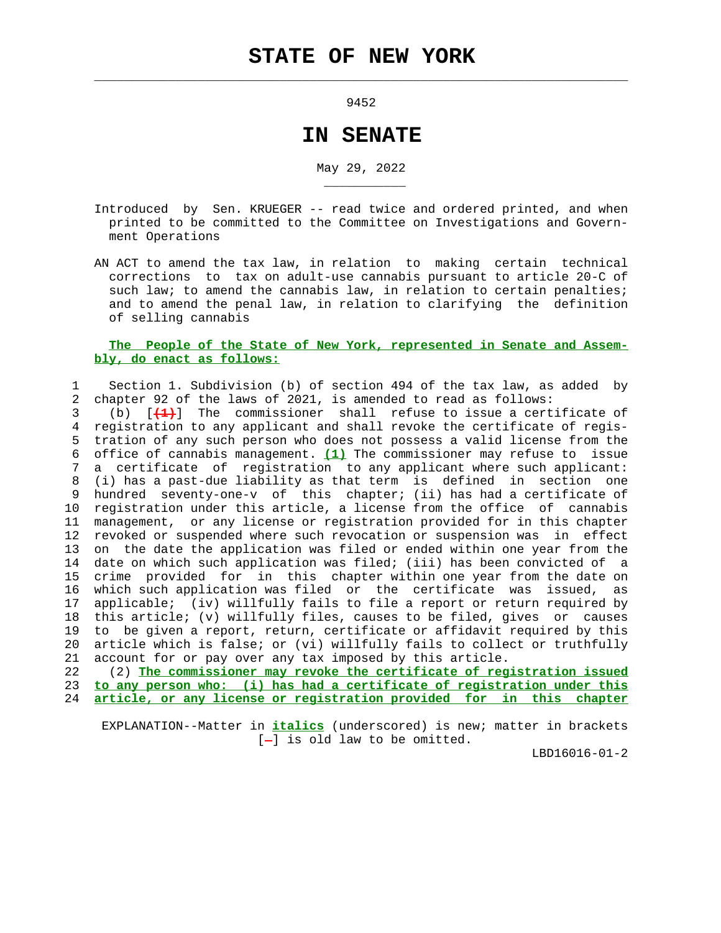$\mathcal{L}_\text{max} = \frac{1}{2} \sum_{i=1}^{n} \frac{1}{2} \sum_{i=1}^{n} \frac{1}{2} \sum_{i=1}^{n} \frac{1}{2} \sum_{i=1}^{n} \frac{1}{2} \sum_{i=1}^{n} \frac{1}{2} \sum_{i=1}^{n} \frac{1}{2} \sum_{i=1}^{n} \frac{1}{2} \sum_{i=1}^{n} \frac{1}{2} \sum_{i=1}^{n} \frac{1}{2} \sum_{i=1}^{n} \frac{1}{2} \sum_{i=1}^{n} \frac{1}{2} \sum_{i=1}^{n} \frac{1$ 

\_\_\_\_\_\_\_\_\_\_\_

9452

## **IN SENATE**

May 29, 2022

- Introduced by Sen. KRUEGER -- read twice and ordered printed, and when printed to be committed to the Committee on Investigations and Govern ment Operations
- AN ACT to amend the tax law, in relation to making certain technical corrections to tax on adult-use cannabis pursuant to article 20-C of such law; to amend the cannabis law, in relation to certain penalties; and to amend the penal law, in relation to clarifying the definition of selling cannabis

## **The People of the State of New York, represented in Senate and Assem bly, do enact as follows:**

 1 Section 1. Subdivision (b) of section 494 of the tax law, as added by 2 chapter 92 of the laws of 2021, is amended to read as follows:

 3 (b) [**(1)**] The commissioner shall refuse to issue a certificate of 4 registration to any applicant and shall revoke the certificate of regis- 5 tration of any such person who does not possess a valid license from the 6 office of cannabis management. **(1)** The commissioner may refuse to issue 7 a certificate of registration to any applicant where such applicant: 8 (i) has a past-due liability as that term is defined in section one 9 hundred seventy-one-v of this chapter; (ii) has had a certificate of 10 registration under this article, a license from the office of cannabis 11 management, or any license or registration provided for in this chapter 12 revoked or suspended where such revocation or suspension was in effect 13 on the date the application was filed or ended within one year from the 14 date on which such application was filed; (iii) has been convicted of a 15 crime provided for in this chapter within one year from the date on 16 which such application was filed or the certificate was issued, as 17 applicable; (iv) willfully fails to file a report or return required by 18 this article; (v) willfully files, causes to be filed, gives or causes 19 to be given a report, return, certificate or affidavit required by this 20 article which is false; or (vi) willfully fails to collect or truthfully 21 account for or pay over any tax imposed by this article.

 22 (2) **The commissioner may revoke the certificate of registration issued** 23 **to any person who: (i) has had a certificate of registration under this** 24 **article, or any license or registration provided for in this chapter**

 EXPLANATION--Matter in **italics** (underscored) is new; matter in brackets  $[-]$  is old law to be omitted.

LBD16016-01-2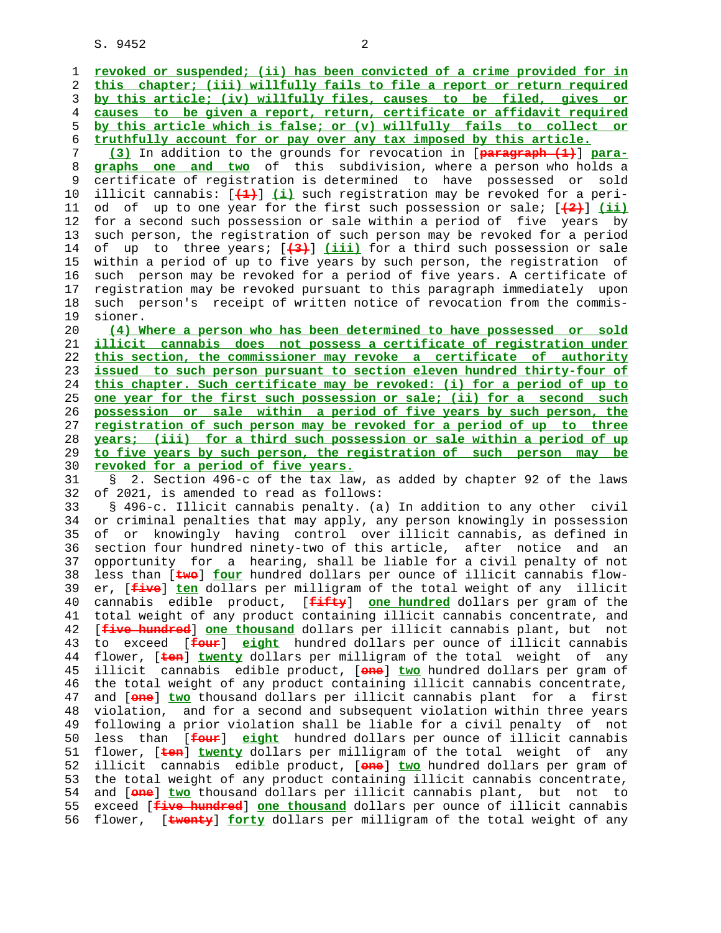S. 9452 2

 1 **revoked or suspended; (ii) has been convicted of a crime provided for in** 2 **this chapter; (iii) willfully fails to file a report or return required** 3 **by this article; (iv) willfully files, causes to be filed, gives or** 4 **causes to be given a report, return, certificate or affidavit required** 5 **by this article which is false; or (v) willfully fails to collect or** 6 **truthfully account for or pay over any tax imposed by this article.** 7 **(3)** In addition to the grounds for revocation in [**paragraph (1)**] **para-** 8 **graphs one and two** of this subdivision, where a person who holds a 9 certificate of registration is determined to have possessed or sold 10 illicit cannabis: [**(1)**] **(i)** such registration may be revoked for a peri- 11 od of up to one year for the first such possession or sale; [**(2)**] **(ii)** 12 for a second such possession or sale within a period of five years by 13 such person, the registration of such person may be revoked for a period 14 of up to three years; [**(3)**] **(iii)** for a third such possession or sale 15 within a period of up to five years by such person, the registration of 16 such person may be revoked for a period of five years. A certificate of 17 registration may be revoked pursuant to this paragraph immediately upon 18 such person's receipt of written notice of revocation from the commis- 19 sioner. 20 **(4) Where a person who has been determined to have possessed or sold** 21 **illicit cannabis does not possess a certificate of registration under** 22 **this section, the commissioner may revoke a certificate of authority** 23 **issued to such person pursuant to section eleven hundred thirty-four of** 24 **this chapter. Such certificate may be revoked: (i) for a period of up to** 25 **one year for the first such possession or sale; (ii) for a second such** 26 **possession or sale within a period of five years by such person, the** 27 **registration of such person may be revoked for a period of up to three** 28 **years; (iii) for a third such possession or sale within a period of up** 29 **to five years by such person, the registration of such person may be** 30 **revoked for a period of five years.** 31 § 2. Section 496-c of the tax law, as added by chapter 92 of the laws 32 of 2021, is amended to read as follows: 33 § 496-c. Illicit cannabis penalty. (a) In addition to any other civil 34 or criminal penalties that may apply, any person knowingly in possession 35 of or knowingly having control over illicit cannabis, as defined in 36 section four hundred ninety-two of this article, after notice and an 37 opportunity for a hearing, shall be liable for a civil penalty of not 38 less than [**two**] **four** hundred dollars per ounce of illicit cannabis flow- 39 er, [**five**] **ten** dollars per milligram of the total weight of any illicit 40 cannabis edible product, [**fifty**] **one hundred** dollars per gram of the 41 total weight of any product containing illicit cannabis concentrate, and 42 [**five hundred**] **one thousand** dollars per illicit cannabis plant, but not 43 to exceed [**four**] **eight** hundred dollars per ounce of illicit cannabis 44 flower, [**ten**] **twenty** dollars per milligram of the total weight of any 45 illicit cannabis edible product, [**one**] **two** hundred dollars per gram of 46 the total weight of any product containing illicit cannabis concentrate, 47 and [**one**] **two** thousand dollars per illicit cannabis plant for a first 48 violation, and for a second and subsequent violation within three years 49 following a prior violation shall be liable for a civil penalty of not 50 less than [**four**] **eight** hundred dollars per ounce of illicit cannabis 51 flower, [**ten**] **twenty** dollars per milligram of the total weight of any 52 illicit cannabis edible product, [**one**] **two** hundred dollars per gram of 53 the total weight of any product containing illicit cannabis concentrate, 54 and [**one**] **two** thousand dollars per illicit cannabis plant, but not to 55 exceed [**five hundred**] **one thousand** dollars per ounce of illicit cannabis 56 flower, [**twenty**] **forty** dollars per milligram of the total weight of any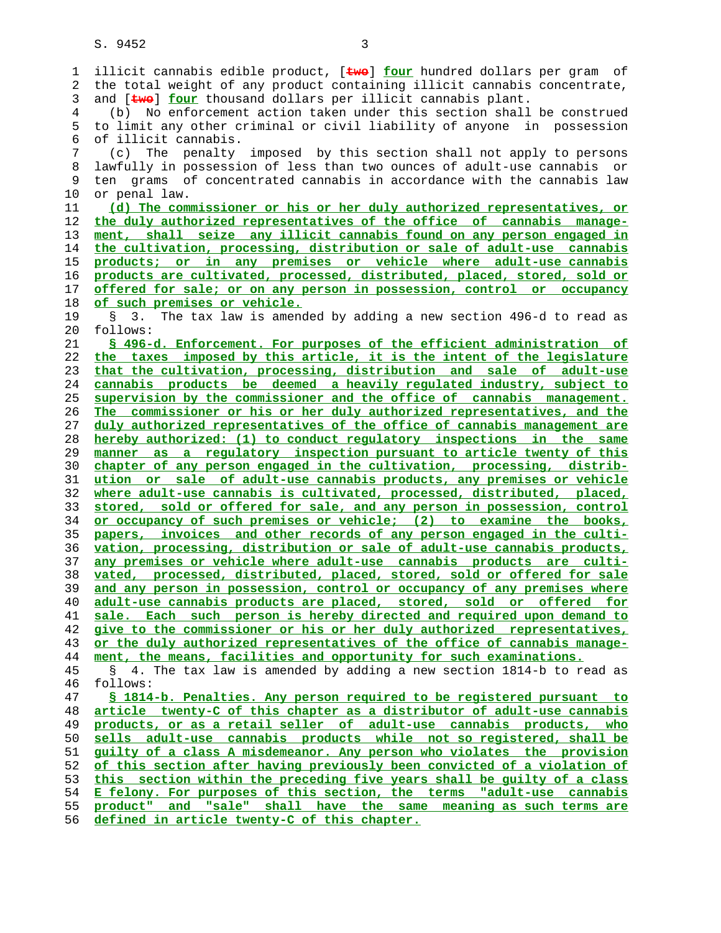1 illicit cannabis edible product, [**two**] **four** hundred dollars per gram of 2 the total weight of any product containing illicit cannabis concentrate, 3 and [**two**] **four** thousand dollars per illicit cannabis plant. 4 (b) No enforcement action taken under this section shall be construed 5 to limit any other criminal or civil liability of anyone in possession 6 of illicit cannabis. 7 (c) The penalty imposed by this section shall not apply to persons 8 lawfully in possession of less than two ounces of adult-use cannabis or 9 ten grams of concentrated cannabis in accordance with the cannabis law 10 or penal law. **(d) The commissioner or his or her duly authorized representatives, or the duly authorized representatives of the office of cannabis manage- ment, shall seize any illicit cannabis found on any person engaged in the cultivation, processing, distribution or sale of adult-use cannabis products; or in any premises or vehicle where adult-use cannabis products are cultivated, processed, distributed, placed, stored, sold or offered for sale; or on any person in possession, control or occupancy of such premises or vehicle.** 19 § 3. The tax law is amended by adding a new section 496-d to read as 20 follows: **§ 496-d. Enforcement. For purposes of the efficient administration of the taxes imposed by this article, it is the intent of the legislature that the cultivation, processing, distribution and sale of adult-use cannabis products be deemed a heavily regulated industry, subject to supervision by the commissioner and the office of cannabis management. The commissioner or his or her duly authorized representatives, and the duly authorized representatives of the office of cannabis management are hereby authorized: (1) to conduct regulatory inspections in the same manner as a regulatory inspection pursuant to article twenty of this chapter of any person engaged in the cultivation, processing, distrib- ution or sale of adult-use cannabis products, any premises or vehicle where adult-use cannabis is cultivated, processed, distributed, placed, stored, sold or offered for sale, and any person in possession, control or occupancy of such premises or vehicle; (2) to examine the books, papers, invoices and other records of any person engaged in the culti- vation, processing, distribution or sale of adult-use cannabis products, any premises or vehicle where adult-use cannabis products are culti- vated, processed, distributed, placed, stored, sold or offered for sale and any person in possession, control or occupancy of any premises where adult-use cannabis products are placed, stored, sold or offered for sale. Each such person is hereby directed and required upon demand to give to the commissioner or his or her duly authorized representatives, or the duly authorized representatives of the office of cannabis manage- ment, the means, facilities and opportunity for such examinations.** 45 § 4. The tax law is amended by adding a new section 1814-b to read as 46 follows: **§ 1814-b. Penalties. Any person required to be registered pursuant to article twenty-C of this chapter as a distributor of adult-use cannabis products, or as a retail seller of adult-use cannabis products, who sells adult-use cannabis products while not so registered, shall be guilty of a class A misdemeanor. Any person who violates the provision of this section after having previously been convicted of a violation of this section within the preceding five years shall be guilty of a class E felony. For purposes of this section, the terms "adult-use cannabis product" and "sale" shall have the same meaning as such terms are defined in article twenty-C of this chapter.**